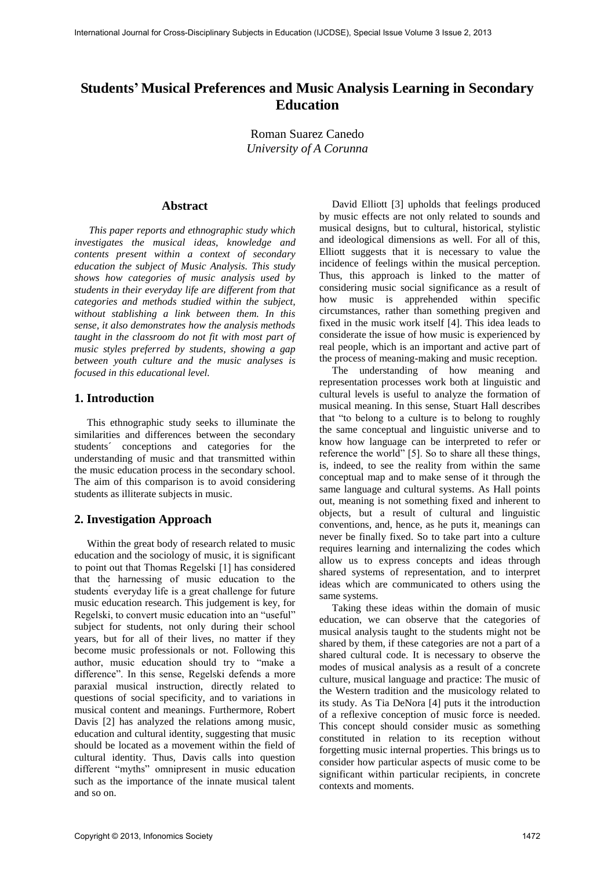# **Students' Musical Preferences and Music Analysis Learning in Secondary Education**

Roman Suarez Canedo *University of A Corunna* 

#### **Abstract**

*This paper reports and ethnographic study which investigates the musical ideas, knowledge and contents present within a context of secondary education the subject of Music Analysis. This study shows how categories of music analysis used by students in their everyday life are different from that categories and methods studied within the subject, without stablishing a link between them. In this sense, it also demonstrates how the analysis methods taught in the classroom do not fit with most part of music styles preferred by students, showing a gap between youth culture and the music analyses is focused in this educational level.* 

## **1. Introduction**

This ethnographic study seeks to illuminate the similarities and differences between the secondary students´ conceptions and categories for the understanding of music and that transmitted within the music education process in the secondary school. The aim of this comparison is to avoid considering students as illiterate subjects in music.

## **2. Investigation Approach**

Within the great body of research related to music education and the sociology of music, it is significant to point out that Thomas Regelski [1] has considered that the harnessing of music education to the students' everyday life is a great challenge for future music education research. This judgement is key, for Regelski, to convert music education into an "useful" subject for students, not only during their school years, but for all of their lives, no matter if they become music professionals or not. Following this author, music education should try to "make a difference". In this sense, Regelski defends a more paraxial musical instruction, directly related to questions of social specificity, and to variations in musical content and meanings. Furthermore, Robert Davis [2] has analyzed the relations among music, education and cultural identity, suggesting that music should be located as a movement within the field of cultural identity. Thus, Davis calls into question different "myths" omnipresent in music education such as the importance of the innate musical talent and so on.

David Elliott [3] upholds that feelings produced by music effects are not only related to sounds and musical designs, but to cultural, historical, stylistic and ideological dimensions as well. For all of this, Elliott suggests that it is necessary to value the incidence of feelings within the musical perception. Thus, this approach is linked to the matter of considering music social significance as a result of how music is apprehended within specific circumstances, rather than something pregiven and fixed in the music work itself [4]. This idea leads to considerate the issue of how music is experienced by real people, which is an important and active part of the process of meaning-making and music reception.

The understanding of how meaning and representation processes work both at linguistic and cultural levels is useful to analyze the formation of musical meaning. In this sense, Stuart Hall describes that "to belong to a culture is to belong to roughly the same conceptual and linguistic universe and to know how language can be interpreted to refer or reference the world" [5]. So to share all these things, is, indeed, to see the reality from within the same conceptual map and to make sense of it through the same language and cultural systems. As Hall points out, meaning is not something fixed and inherent to objects, but a result of cultural and linguistic conventions, and, hence, as he puts it, meanings can never be finally fixed. So to take part into a culture requires learning and internalizing the codes which allow us to express concepts and ideas through shared systems of representation, and to interpret ideas which are communicated to others using the same systems.

Taking these ideas within the domain of music education, we can observe that the categories of musical analysis taught to the students might not be shared by them, if these categories are not a part of a shared cultural code. It is necessary to observe the modes of musical analysis as a result of a concrete culture, musical language and practice: The music of the Western tradition and the musicology related to its study. As Tia DeNora [4] puts it the introduction of a reflexive conception of music force is needed. This concept should consider music as something constituted in relation to its reception without forgetting music internal properties. This brings us to consider how particular aspects of music come to be significant within particular recipients, in concrete contexts and moments.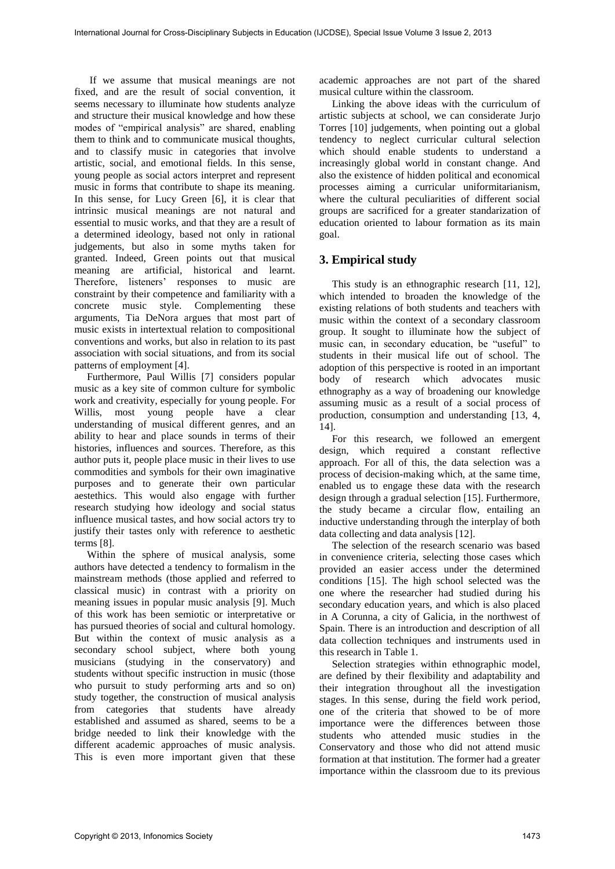If we assume that musical meanings are not fixed, and are the result of social convention, it seems necessary to illuminate how students analyze and structure their musical knowledge and how these modes of "empirical analysis" are shared, enabling them to think and to communicate musical thoughts, and to classify music in categories that involve artistic, social, and emotional fields. In this sense, young people as social actors interpret and represent music in forms that contribute to shape its meaning. In this sense, for Lucy Green [6], it is clear that intrinsic musical meanings are not natural and essential to music works, and that they are a result of a determined ideology, based not only in rational judgements, but also in some myths taken for granted. Indeed, Green points out that musical meaning are artificial, historical and learnt. Therefore, listeners' responses to music are constraint by their competence and familiarity with a concrete music style. Complementing these arguments, Tia DeNora argues that most part of music exists in intertextual relation to compositional conventions and works, but also in relation to its past association with social situations, and from its social patterns of employment [4].

Furthermore, Paul Willis [7] considers popular music as a key site of common culture for symbolic work and creativity, especially for young people. For Willis, most young people have a clear understanding of musical different genres, and an ability to hear and place sounds in terms of their histories, influences and sources. Therefore, as this author puts it, people place music in their lives to use commodities and symbols for their own imaginative purposes and to generate their own particular aestethics. This would also engage with further research studying how ideology and social status influence musical tastes, and how social actors try to justify their tastes only with reference to aesthetic terms [8].

Within the sphere of musical analysis, some authors have detected a tendency to formalism in the mainstream methods (those applied and referred to classical music) in contrast with a priority on meaning issues in popular music analysis [9]. Much of this work has been semiotic or interpretative or has pursued theories of social and cultural homology. But within the context of music analysis as a secondary school subject, where both young musicians (studying in the conservatory) and students without specific instruction in music (those who pursuit to study performing arts and so on) study together, the construction of musical analysis from categories that students have already established and assumed as shared, seems to be a bridge needed to link their knowledge with the different academic approaches of music analysis. This is even more important given that these academic approaches are not part of the shared musical culture within the classroom.

Linking the above ideas with the curriculum of artistic subjects at school, we can considerate Jurjo Torres [10] judgements, when pointing out a global tendency to neglect curricular cultural selection which should enable students to understand a increasingly global world in constant change. And also the existence of hidden political and economical processes aiming a curricular uniformitarianism, where the cultural peculiarities of different social groups are sacrificed for a greater standarization of education oriented to labour formation as its main goal.

## **3. Empirical study**

This study is an ethnographic research [11, 12], which intended to broaden the knowledge of the existing relations of both students and teachers with music within the context of a secondary classroom group. It sought to illuminate how the subject of music can, in secondary education, be "useful" to students in their musical life out of school. The adoption of this perspective is rooted in an important body of research which advocates music ethnography as a way of broadening our knowledge assuming music as a result of a social process of production, consumption and understanding [13, 4, 14].

For this research, we followed an emergent design, which required a constant reflective approach. For all of this, the data selection was a process of decision-making which, at the same time, enabled us to engage these data with the research design through a gradual selection [15]. Furthermore, the study became a circular flow, entailing an inductive understanding through the interplay of both data collecting and data analysis [12].

The selection of the research scenario was based in convenience criteria, selecting those cases which provided an easier access under the determined conditions [15]. The high school selected was the one where the researcher had studied during his secondary education years, and which is also placed in A Corunna, a city of Galicia, in the northwest of Spain. There is an introduction and description of all data collection techniques and instruments used in this research in Table 1.

Selection strategies within ethnographic model, are defined by their flexibility and adaptability and their integration throughout all the investigation stages. In this sense, during the field work period, one of the criteria that showed to be of more importance were the differences between those students who attended music studies in the Conservatory and those who did not attend music formation at that institution. The former had a greater importance within the classroom due to its previous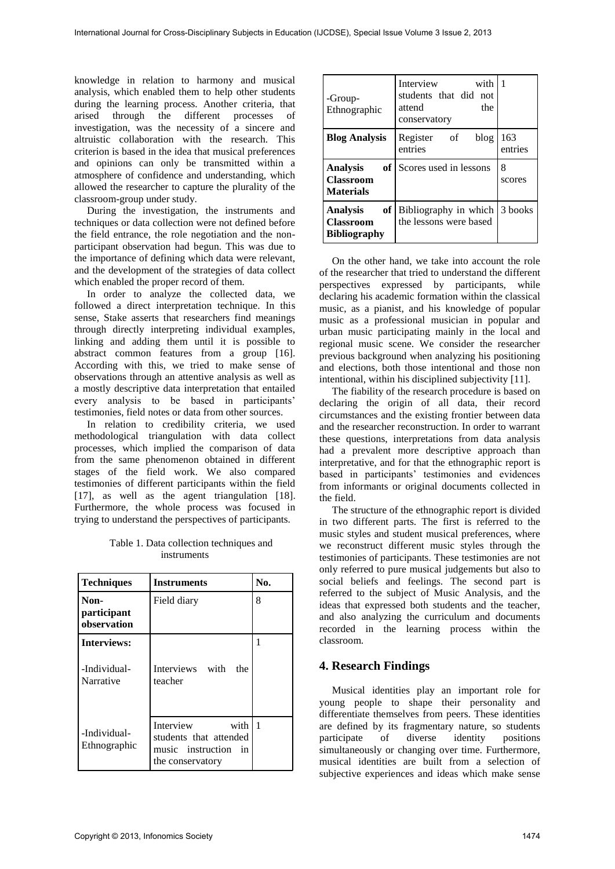knowledge in relation to harmony and musical analysis, which enabled them to help other students during the learning process. Another criteria, that arised through the different processes of investigation, was the necessity of a sincere and altruistic collaboration with the research. This criterion is based in the idea that musical preferences and opinions can only be transmitted within a atmosphere of confidence and understanding, which allowed the researcher to capture the plurality of the classroom-group under study.

During the investigation, the instruments and techniques or data collection were not defined before the field entrance, the role negotiation and the nonparticipant observation had begun. This was due to the importance of defining which data were relevant, and the development of the strategies of data collect which enabled the proper record of them.

In order to analyze the collected data, we followed a direct interpretation technique. In this sense, Stake asserts that researchers find meanings through directly interpreting individual examples, linking and adding them until it is possible to abstract common features from a group [16]. According with this, we tried to make sense of observations through an attentive analysis as well as a mostly descriptive data interpretation that entailed every analysis to be based in participants' testimonies, field notes or data from other sources.

In relation to credibility criteria, we used methodological triangulation with data collect processes, which implied the comparison of data from the same phenomenon obtained in different stages of the field work. We also compared testimonies of different participants within the field [17], as well as the agent triangulation [18]. Furthermore, the whole process was focused in trying to understand the perspectives of participants.

Table 1. Data collection techniques and instruments

| <b>Techniques</b>                  | <b>Instruments</b>                                                                         | No.          |
|------------------------------------|--------------------------------------------------------------------------------------------|--------------|
| Non-<br>participant<br>observation | Field diary                                                                                | 8            |
| <b>Interviews:</b>                 |                                                                                            | 1            |
| -Individual-<br>Narrative          | Interviews with<br>the<br>teacher                                                          |              |
| -Individual-<br>Ethnographic       | Interview<br>with<br>students that attended<br>music instruction<br>in<br>the conservatory | $\mathbf{1}$ |

| -Group-<br>Ethnographic                                                | Interview<br>with<br>students that did not<br>attend<br>the<br>conservatory | -1             |
|------------------------------------------------------------------------|-----------------------------------------------------------------------------|----------------|
| <b>Blog Analysis</b>                                                   | Register<br>blog<br>of of<br>entries                                        | 163<br>entries |
| <b>of</b><br><b>Analysis</b><br><b>Classroom</b><br><b>Materials</b>   | Scores used in lessons                                                      | 8<br>scores    |
| of <sub>1</sub><br>Analysis<br><b>Classroom</b><br><b>Bibliography</b> | Bibliography in which 3 books<br>the lessons were based                     |                |

On the other hand, we take into account the role of the researcher that tried to understand the different perspectives expressed by participants, while declaring his academic formation within the classical music, as a pianist, and his knowledge of popular music as a professional musician in popular and urban music participating mainly in the local and regional music scene. We consider the researcher previous background when analyzing his positioning and elections, both those intentional and those non intentional, within his disciplined subjectivity [11].

The fiability of the research procedure is based on declaring the origin of all data, their record circumstances and the existing frontier between data and the researcher reconstruction. In order to warrant these questions, interpretations from data analysis had a prevalent more descriptive approach than interpretative, and for that the ethnographic report is based in participants' testimonies and evidences from informants or original documents collected in the field.

The structure of the ethnographic report is divided in two different parts. The first is referred to the music styles and student musical preferences, where we reconstruct different music styles through the testimonies of participants. These testimonies are not only referred to pure musical judgements but also to social beliefs and feelings. The second part is referred to the subject of Music Analysis, and the ideas that expressed both students and the teacher, and also analyzing the curriculum and documents recorded in the learning process within the classroom.

## **4. Research Findings**

Musical identities play an important role for young people to shape their personality and differentiate themselves from peers. These identities are defined by its fragmentary nature, so students participate of diverse identity positions simultaneously or changing over time. Furthermore, musical identities are built from a selection of subjective experiences and ideas which make sense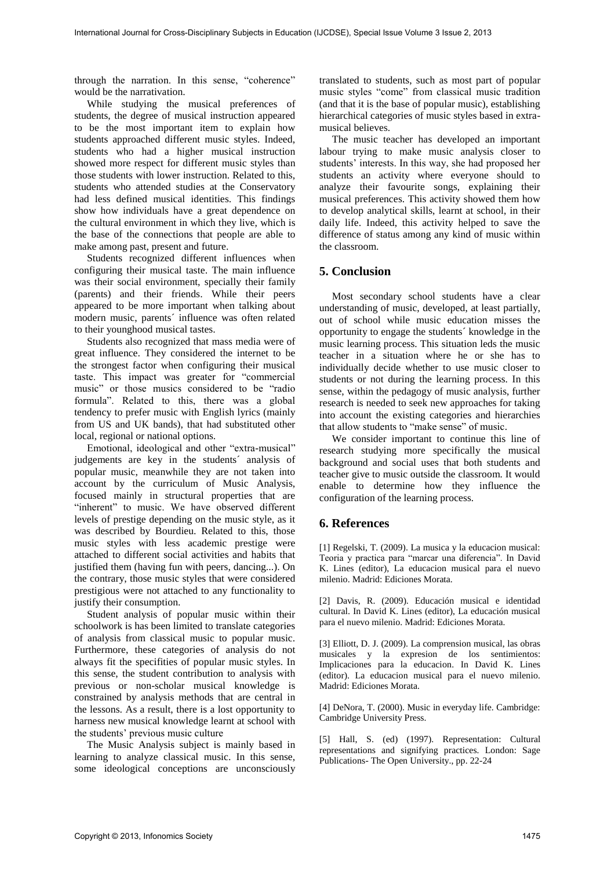through the narration. In this sense, "coherence" would be the narrativation.

While studying the musical preferences of students, the degree of musical instruction appeared to be the most important item to explain how students approached different music styles. Indeed, students who had a higher musical instruction showed more respect for different music styles than those students with lower instruction. Related to this, students who attended studies at the Conservatory had less defined musical identities. This findings show how individuals have a great dependence on the cultural environment in which they live, which is the base of the connections that people are able to make among past, present and future.

Students recognized different influences when configuring their musical taste. The main influence was their social environment, specially their family (parents) and their friends. While their peers appeared to be more important when talking about modern music, parents´ influence was often related to their younghood musical tastes.

Students also recognized that mass media were of great influence. They considered the internet to be the strongest factor when configuring their musical taste. This impact was greater for "commercial music" or those musics considered to be "radio formula". Related to this, there was a global tendency to prefer music with English lyrics (mainly from US and UK bands), that had substituted other local, regional or national options.

Emotional, ideological and other "extra-musical" judgements are key in the students´ analysis of popular music, meanwhile they are not taken into account by the curriculum of Music Analysis, focused mainly in structural properties that are " inherent" to music. We have observed different levels of prestige depending on the music style, as it was described by Bourdieu. Related to this, those music styles with less academic prestige were attached to different social activities and habits that justified them (having fun with peers, dancing...). On the contrary, those music styles that were considered prestigious were not attached to any functionality to justify their consumption.

Student analysis of popular music within their schoolwork is has been limited to translate categories of analysis from classical music to popular music. Furthermore, these categories of analysis do not always fit the specifities of popular music styles. In this sense, the student contribution to analysis with previous or non-scholar musical knowledge is constrained by analysis methods that are central in the lessons. As a result, there is a lost opportunity to harness new musical knowledge learnt at school with the students' previous music culture

The Music Analysis subject is mainly based in learning to analyze classical music. In this sense, some ideological conceptions are unconsciously

translated to students, such as most part of popular music styles "come" from classical music tradition (and that it is the base of popular music), establishing hierarchical categories of music styles based in extramusical believes.

The music teacher has developed an important labour trying to make music analysis closer to students' interests. In this way, she had proposed her students an activity where everyone should to analyze their favourite songs, explaining their musical preferences. This activity showed them how to develop analytical skills, learnt at school, in their daily life. Indeed, this activity helped to save the difference of status among any kind of music within the classroom.

## **5. Conclusion**

Most secondary school students have a clear understanding of music, developed, at least partially, out of school while music education misses the opportunity to engage the students´ knowledge in the music learning process. This situation leds the music teacher in a situation where he or she has to individually decide whether to use music closer to students or not during the learning process. In this sense, within the pedagogy of music analysis, further research is needed to seek new approaches for taking into account the existing categories and hierarchies that allow students to "make sense" of music.

We consider important to continue this line of research studying more specifically the musical background and social uses that both students and teacher give to music outside the classroom. It would enable to determine how they influence the configuration of the learning process.

## **6. References**

[1] Regelski, T. (2009). La musica y la educacion musical: Teoria y practica para "marcar una diferencia". In David K. Lines (editor), La educacion musical para el nuevo milenio. Madrid: Ediciones Morata.

[2] Davis, R. (2009). Educación musical e identidad cultural. In David K. Lines (editor), La educación musical para el nuevo milenio. Madrid: Ediciones Morata.

[3] Elliott, D. J. (2009). La comprension musical, las obras musicales y la expresion de los sentimientos: Implicaciones para la educacion. In David K. Lines (editor). La educacion musical para el nuevo milenio. Madrid: Ediciones Morata.

[4] DeNora, T. (2000). Music in everyday life. Cambridge: Cambridge University Press.

[5] Hall, S. (ed) (1997). Representation: Cultural representations and signifying practices. London: Sage Publications- The Open University., pp. 22-24